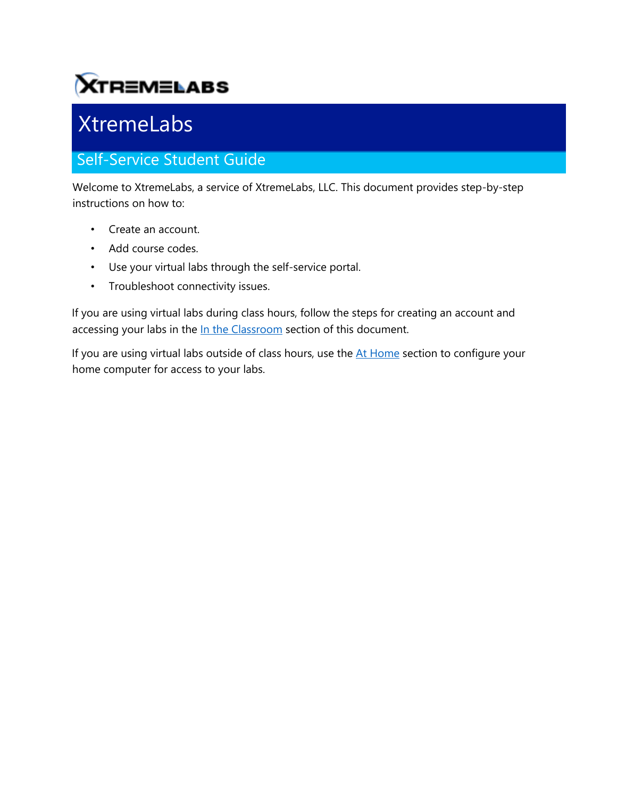# **XTREMELABS**

# XtremeLabs

## Self-Service Student Guide

Welcome to XtremeLabs, a service of XtremeLabs, LLC. This document provides step-by-step instructions on how to:

- Create an account.
- Add course codes.
- Use your virtual labs through the self-service portal.
- Troubleshoot connectivity issues.

If you are using virtual labs during class hours, follow the steps for creating an account and accessing your labs in the In the Classroom section of this document.

If you are using virtual labs outside of class hours, use the At Home section to configure your home computer for access to your labs.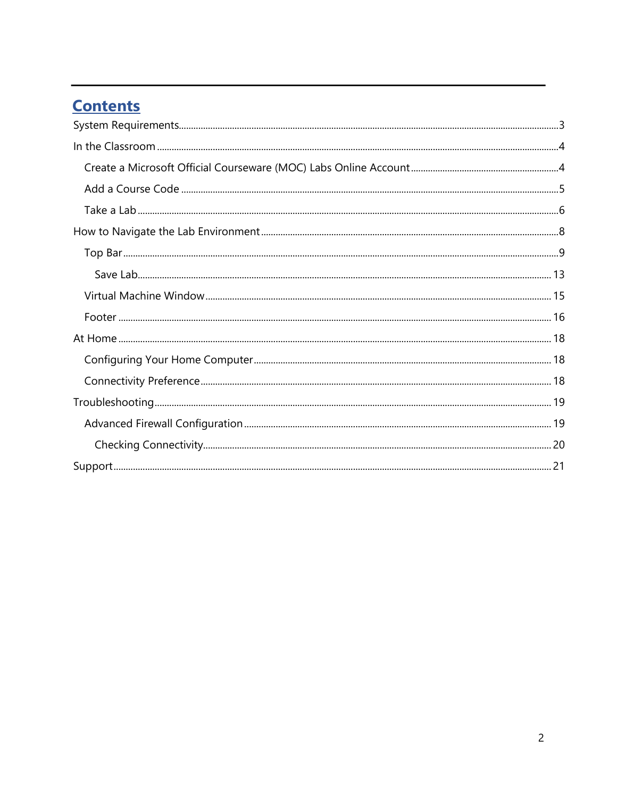## **Contents**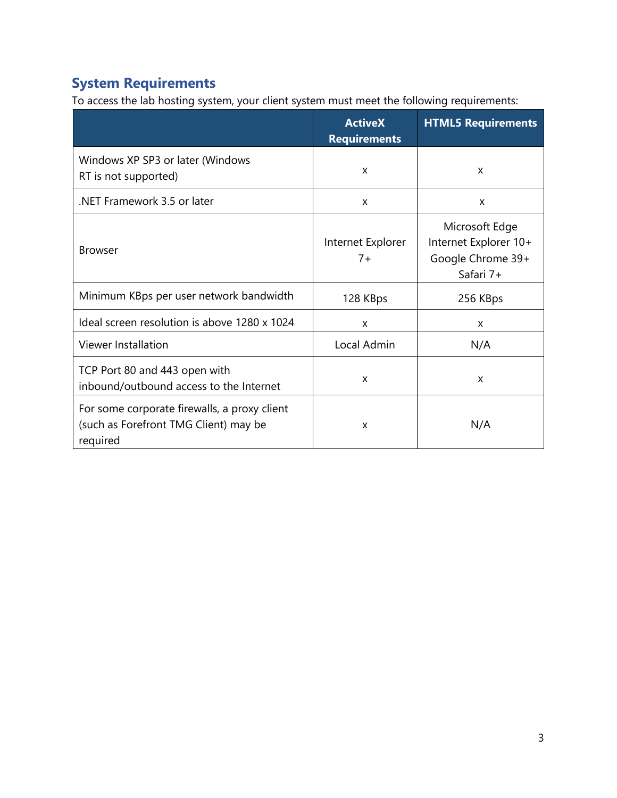## <span id="page-2-0"></span>**System Requirements**

To access the lab hosting system, your client system must meet the following requirements:

|                                                                                                   | <b>ActiveX</b><br><b>Requirements</b> | <b>HTML5 Requirements</b>                                                 |
|---------------------------------------------------------------------------------------------------|---------------------------------------|---------------------------------------------------------------------------|
| Windows XP SP3 or later (Windows<br>RT is not supported)                                          | X                                     | X                                                                         |
| NET Framework 3.5 or later                                                                        | X                                     | X                                                                         |
| <b>Browser</b>                                                                                    | Internet Explorer<br>$7+$             | Microsoft Edge<br>Internet Explorer 10+<br>Google Chrome 39+<br>Safari 7+ |
| Minimum KBps per user network bandwidth                                                           | 128 KBps                              | 256 KBps                                                                  |
| Ideal screen resolution is above 1280 x 1024                                                      | X                                     | X                                                                         |
| Viewer Installation                                                                               | Local Admin                           | N/A                                                                       |
| TCP Port 80 and 443 open with<br>inbound/outbound access to the Internet                          | X                                     | X                                                                         |
| For some corporate firewalls, a proxy client<br>(such as Forefront TMG Client) may be<br>required | X                                     | N/A                                                                       |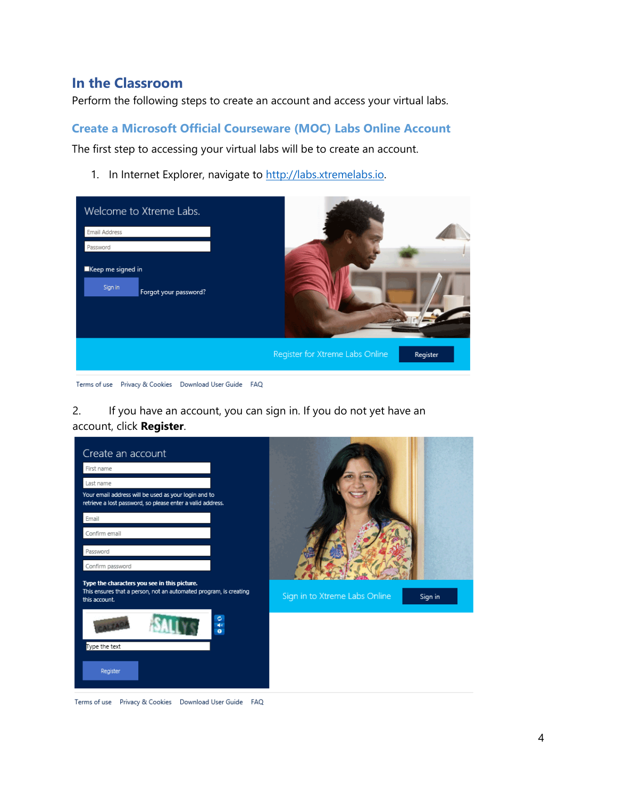### <span id="page-3-0"></span>**In the Classroom**

Perform the following steps to create an account and access your virtual labs.

#### <span id="page-3-1"></span>**Create a Microsoft Official Courseware (MOC) Labs Online Account**

The first step to accessing your virtual labs will be to create an account.

1. In Internet Explorer, navigate to [http://labs.xtremelabs.io.](http://labs.xtremelabs.io/)

| Welcome to Xtreme Labs.                               |                                             |
|-------------------------------------------------------|---------------------------------------------|
| Email Address                                         |                                             |
| Password                                              |                                             |
| Keep me signed in<br>Sign in<br>Forgot your password? |                                             |
|                                                       | Register for Xtreme Labs Online<br>Register |

Terms of use Privacy & Cookies Download User Guide FAQ

2. If you have an account, you can sign in. If you do not yet have an account, click **Register**.



Terms of use Privacy & Cookies Download User Guide FAQ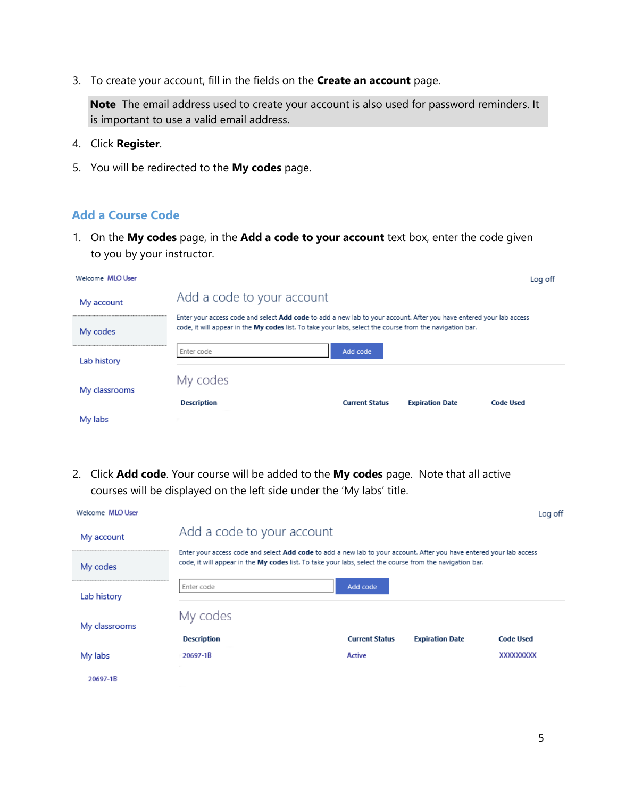3. To create your account, fill in the fields on the **Create an account** page.

**Note** The email address used to create your account is also used for password reminders. It is important to use a valid email address.

- 4. Click **Register**.
- 5. You will be redirected to the **My codes** page.

#### <span id="page-4-0"></span>**Add a Course Code**

1. On the **My codes** page, in the **Add a code to your account** text box, enter the code given to you by your instructor.

| Welcome MLO User |                                                                                                                                                                                                                                 |                       |                        | Log off          |
|------------------|---------------------------------------------------------------------------------------------------------------------------------------------------------------------------------------------------------------------------------|-----------------------|------------------------|------------------|
| My account       | Add a code to your account                                                                                                                                                                                                      |                       |                        |                  |
| My codes         | Enter your access code and select Add code to add a new lab to your account. After you have entered your lab access<br>code, it will appear in the My codes list. To take your labs, select the course from the navigation bar. |                       |                        |                  |
| Lab history      | Enter code                                                                                                                                                                                                                      | Add code              |                        |                  |
| My classrooms    | My codes                                                                                                                                                                                                                        |                       |                        |                  |
|                  | <b>Description</b>                                                                                                                                                                                                              | <b>Current Status</b> | <b>Expiration Date</b> | <b>Code Used</b> |
| My labs          |                                                                                                                                                                                                                                 |                       |                        |                  |

2. Click **Add code**. Your course will be added to the **My codes** page. Note that all active courses will be displayed on the left side under the 'My labs' title.

| Welcome MLO User |                                                                                                          |                                                                                                                     |                        | Log off          |
|------------------|----------------------------------------------------------------------------------------------------------|---------------------------------------------------------------------------------------------------------------------|------------------------|------------------|
| My account       | Add a code to your account                                                                               |                                                                                                                     |                        |                  |
| My codes         | code, it will appear in the My codes list. To take your labs, select the course from the navigation bar. | Enter your access code and select Add code to add a new lab to your account. After you have entered your lab access |                        |                  |
| Lab history      | Enter code                                                                                               | Add code                                                                                                            |                        |                  |
| My classrooms    | My codes                                                                                                 |                                                                                                                     |                        |                  |
|                  | <b>Description</b>                                                                                       | <b>Current Status</b>                                                                                               | <b>Expiration Date</b> | <b>Code Used</b> |
| My labs          | 20697-1B                                                                                                 | Active                                                                                                              |                        | XXXXXXXX         |
| 20697-1B         |                                                                                                          |                                                                                                                     |                        |                  |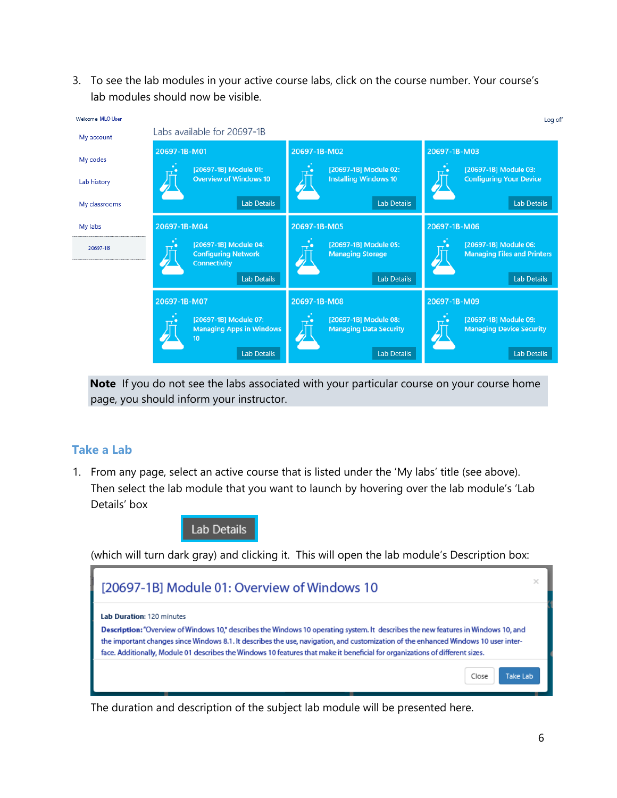3. To see the lab modules in your active course labs, click on the course number. Your course's lab modules should now be visible.



**Note** If you do not see the labs associated with your particular course on your course home page, you should inform your instructor.

#### <span id="page-5-0"></span>**Take a Lab**

1. From any page, select an active course that is listed under the 'My labs' title (see above). Then select the lab module that you want to launch by hovering over the lab module's 'Lab Details' box

Lab Details

(which will turn dark gray) and clicking it. This will open the lab module's Description box:



The duration and description of the subject lab module will be presented here.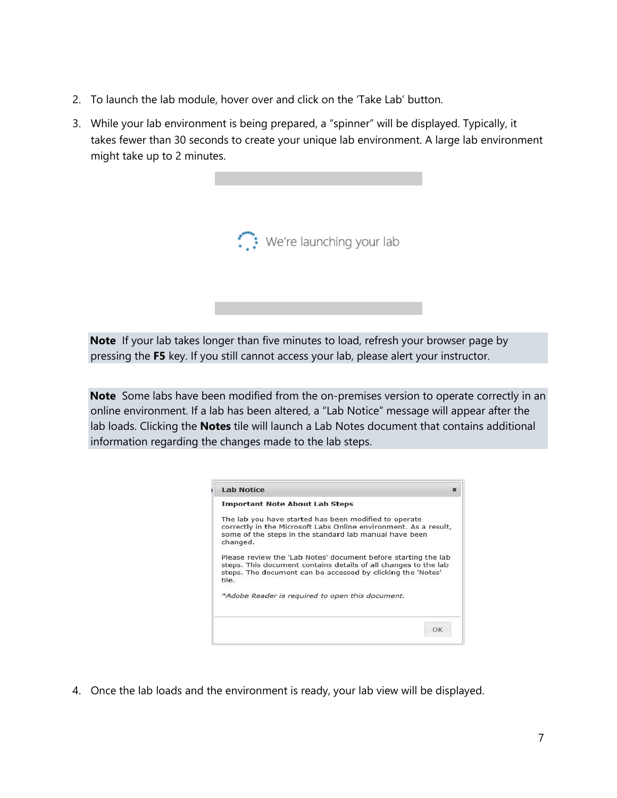- 2. To launch the lab module, hover over and click on the 'Take Lab' button.
- 3. While your lab environment is being prepared, a "spinner" will be displayed. Typically, it takes fewer than 30 seconds to create your unique lab environment. A large lab environment might take up to 2 minutes.



**Note** If your lab takes longer than five minutes to load, refresh your browser page by pressing the **F5** key. If you still cannot access your lab, please alert your instructor.

**Note** Some labs have been modified from the on-premises version to operate correctly in an online environment. If a lab has been altered, a "Lab Notice" message will appear after the lab loads. Clicking the **Notes** tile will launch a Lab Notes document that contains additional information regarding the changes made to the lab steps.

| <b>Lab Notice</b>                                                                                                                                                                                         |  |
|-----------------------------------------------------------------------------------------------------------------------------------------------------------------------------------------------------------|--|
| <b>Important Note About Lab Steps</b>                                                                                                                                                                     |  |
| The lab you have started has been modified to operate<br>correctly in the Microsoft Labs Online environment. As a result,<br>some of the steps in the standard lab manual have been<br>changed.           |  |
|                                                                                                                                                                                                           |  |
| Please review the 'Lab Notes' document before starting the lab<br>steps. This document contains details of all changes to the lab<br>steps. The document can be accessed by clicking the 'Notes'<br>tile. |  |
| *Adobe Reader is required to open this document.                                                                                                                                                          |  |
|                                                                                                                                                                                                           |  |

4. Once the lab loads and the environment is ready, your lab view will be displayed.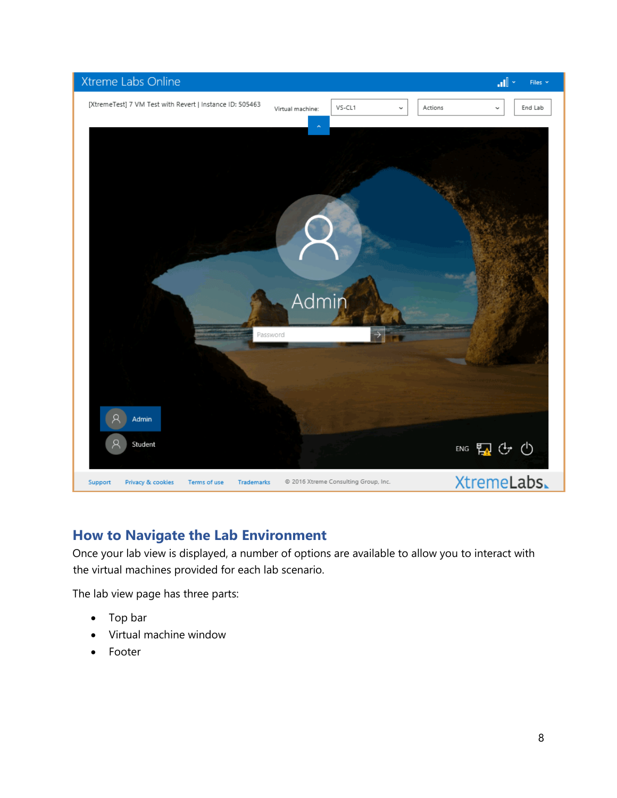

## <span id="page-7-0"></span>**How to Navigate the Lab Environment**

Once your lab view is displayed, a number of options are available to allow you to interact with the virtual machines provided for each lab scenario.

The lab view page has three parts:

- Top bar
- Virtual machine window
- **Footer**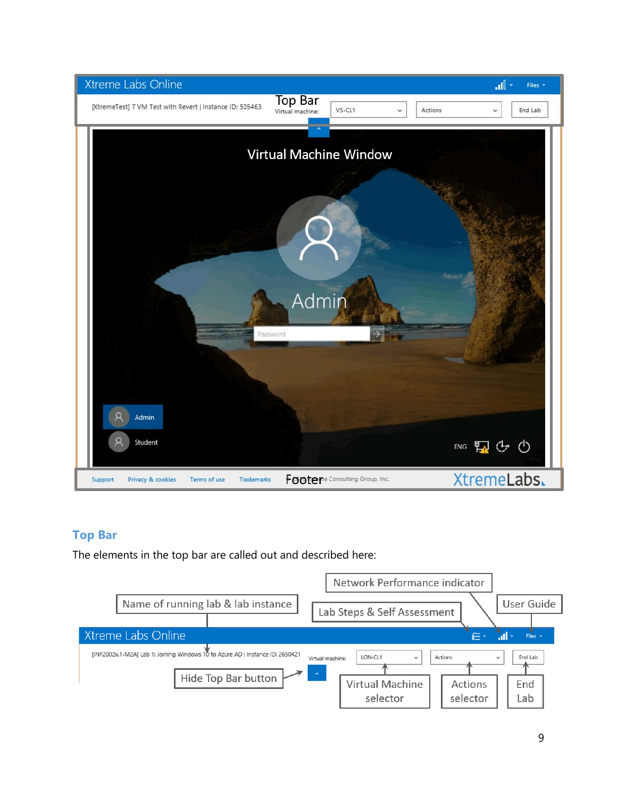

#### <span id="page-8-0"></span>**Top Bar**

The elements in the top bar are called out and described here:

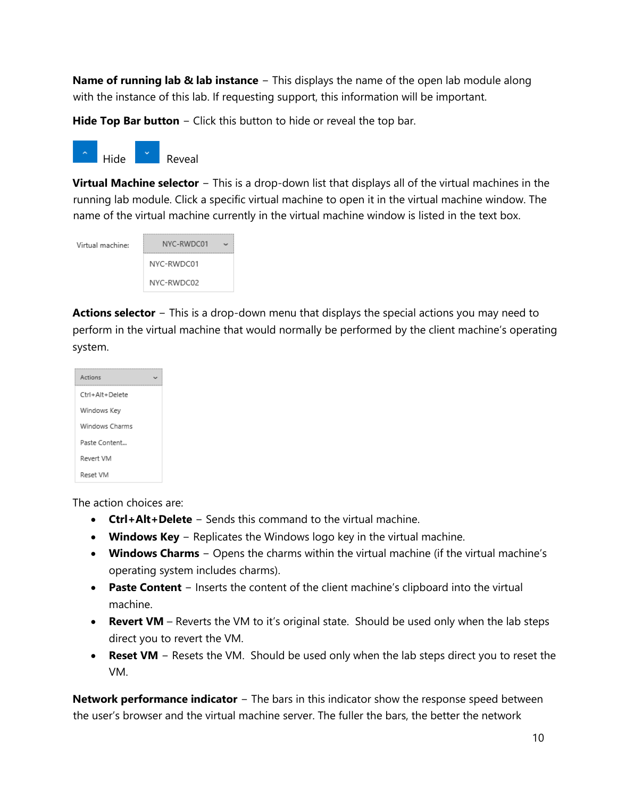**Name of running lab & lab instance** − This displays the name of the open lab module along with the instance of this lab. If requesting support, this information will be important.

**Hide Top Bar button** − Click this button to hide or reveal the top bar.



**Virtual Machine selector** − This is a drop-down list that displays all of the virtual machines in the running lab module. Click a specific virtual machine to open it in the virtual machine window. The name of the virtual machine currently in the virtual machine window is listed in the text box.

| Virtual machine: | NYC-RWDC01 |  |
|------------------|------------|--|
|                  | NYC-RWDC01 |  |
|                  | NYC-RWDC02 |  |

**Actions selector** − This is a drop-down menu that displays the special actions you may need to perform in the virtual machine that would normally be performed by the client machine's operating system.

| Actions         |
|-----------------|
| Ctrl+Alt+Delete |
| Windows Key     |
| Windows Charms  |
| Paste Content   |
| Revert VM       |
| Reset VM        |

The action choices are:

- **Ctrl+Alt+Delete** − Sends this command to the virtual machine.
- **Windows Key** − Replicates the Windows logo key in the virtual machine.
- **Windows Charms** − Opens the charms within the virtual machine (if the virtual machine's operating system includes charms).
- **Paste Content** − Inserts the content of the client machine's clipboard into the virtual machine.
- **Revert VM** Reverts the VM to it's original state. Should be used only when the lab steps direct you to revert the VM.
- **Reset VM** − Resets the VM. Should be used only when the lab steps direct you to reset the VM.

**Network performance indicator** − The bars in this indicator show the response speed between the user's browser and the virtual machine server. The fuller the bars, the better the network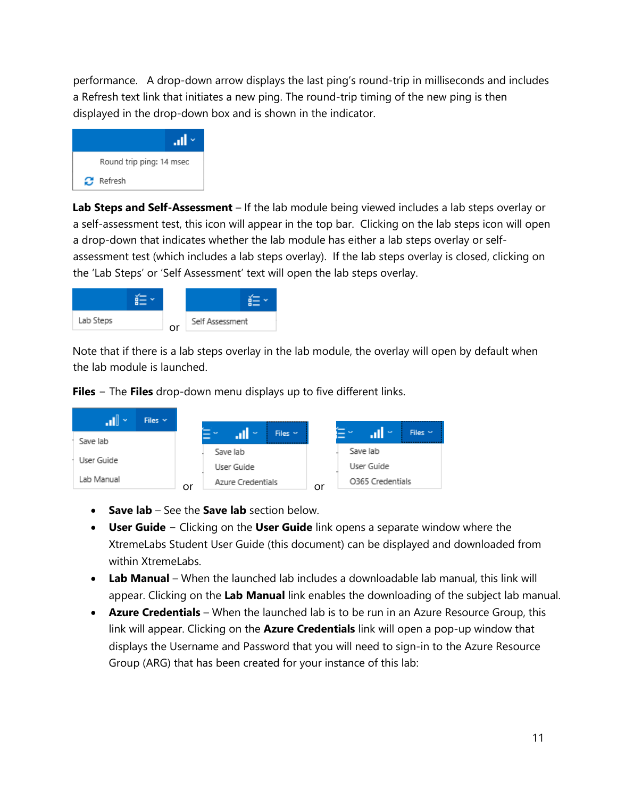performance. A drop-down arrow displays the last ping's round-trip in milliseconds and includes a Refresh text link that initiates a new ping. The round-trip timing of the new ping is then displayed in the drop-down box and is shown in the indicator.



**Lab Steps and Self-Assessment** – If the lab module being viewed includes a lab steps overlay or a self-assessment test, this icon will appear in the top bar. Clicking on the lab steps icon will open a drop-down that indicates whether the lab module has either a lab steps overlay or selfassessment test (which includes a lab steps overlay). If the lab steps overlay is closed, clicking on the 'Lab Steps' or 'Self Assessment' text will open the lab steps overlay.



Note that if there is a lab steps overlay in the lab module, the overlay will open by default when the lab module is launched.

**Files** − The **Files** drop-down menu displays up to five different links.

| $\mathbf{1}$<br>Files $\vee$ |    |                          |                           |              |    |                   | <b>Sur</b>       |              |
|------------------------------|----|--------------------------|---------------------------|--------------|----|-------------------|------------------|--------------|
| Save lab                     |    | <b>PERSONAL PROPERTY</b> | <b>The Second Service</b> | Files $\sim$ |    | <b>STATISTICS</b> |                  | Files $\sim$ |
|                              |    |                          | Save lab                  |              |    |                   | Save lab         |              |
| User Guide                   |    |                          | User Guide                |              |    |                   | User Guide       |              |
| Lab Manual                   | or |                          | Azure Credentials         |              | or |                   | O365 Credentials |              |

- **Save lab** See the **Save lab** section below.
- **User Guide** − Clicking on the **User Guide** link opens a separate window where the XtremeLabs Student User Guide (this document) can be displayed and downloaded from within XtremeLabs.
- **Lab Manual** When the launched lab includes a downloadable lab manual, this link will appear. Clicking on the **Lab Manual** link enables the downloading of the subject lab manual.
- **Azure Credentials** When the launched lab is to be run in an Azure Resource Group, this link will appear. Clicking on the **Azure Credentials** link will open a pop-up window that displays the Username and Password that you will need to sign-in to the Azure Resource Group (ARG) that has been created for your instance of this lab: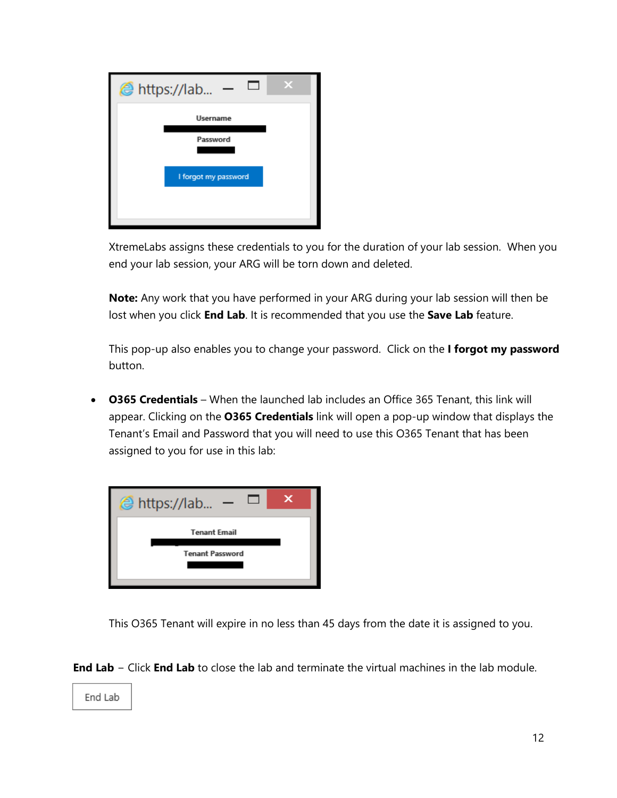| @ https://lab        |
|----------------------|
| <b>Username</b>      |
| Password             |
|                      |
| I forgot my password |
|                      |

XtremeLabs assigns these credentials to you for the duration of your lab session. When you end your lab session, your ARG will be torn down and deleted.

**Note:** Any work that you have performed in your ARG during your lab session will then be lost when you click **End Lab**. It is recommended that you use the **Save Lab** feature.

This pop-up also enables you to change your password. Click on the **I forgot my password** button.

• **O365 Credentials** – When the launched lab includes an Office 365 Tenant, this link will appear. Clicking on the **O365 Credentials** link will open a pop-up window that displays the Tenant's Email and Password that you will need to use this O365 Tenant that has been assigned to you for use in this lab:



This O365 Tenant will expire in no less than 45 days from the date it is assigned to you.

**End Lab** − Click **End Lab** to close the lab and terminate the virtual machines in the lab module.

End Lab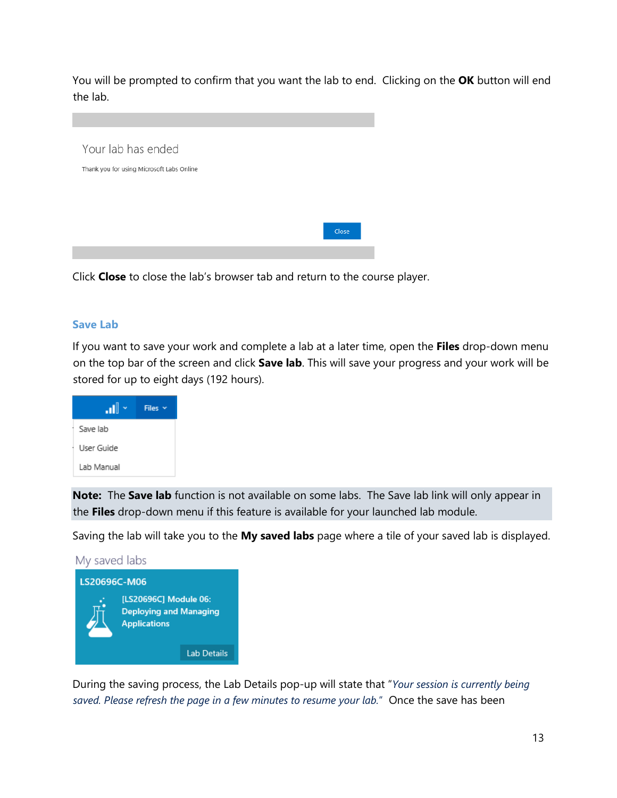You will be prompted to confirm that you want the lab to end. Clicking on the **OK** button will end the lab.



Click **Close** to close the lab's browser tab and return to the course player.

#### <span id="page-12-0"></span>**Save Lab**

If you want to save your work and complete a lab at a later time, open the **Files** drop-down menu on the top bar of the screen and click **Save lab**. This will save your progress and your work will be stored for up to eight days (192 hours).



**Note:** The **Save lab** function is not available on some labs. The Save lab link will only appear in the **Files** drop-down menu if this feature is available for your launched lab module.

Saving the lab will take you to the **My saved labs** page where a tile of your saved lab is displayed.



During the saving process, the Lab Details pop-up will state that "*Your session is currently being saved. Please refresh the page in a few minutes to resume your lab.*" Once the save has been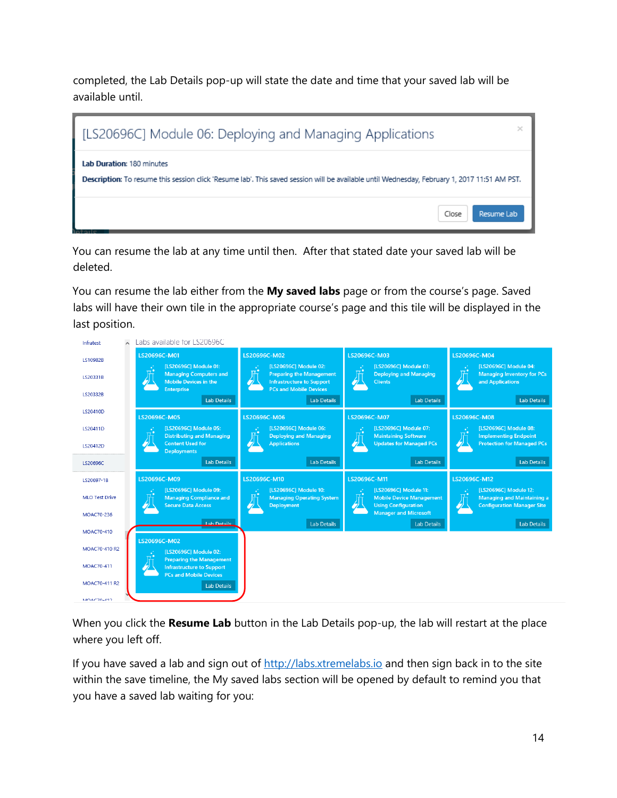completed, the Lab Details pop-up will state the date and time that your saved lab will be available until.



You can resume the lab at any time until then. After that stated date your saved lab will be deleted.

You can resume the lab either from the **My saved labs** page or from the course's page. Saved labs will have their own tile in the appropriate course's page and this tile will be displayed in the last position.



When you click the **Resume Lab** button in the Lab Details pop-up, the lab will restart at the place where you left off.

If you have saved a lab and sign out of [http://labs.xtremelabs.io](http://labs.xtremelabs.io/) and then sign back in to the site within the save timeline, the My saved labs section will be opened by default to remind you that you have a saved lab waiting for you: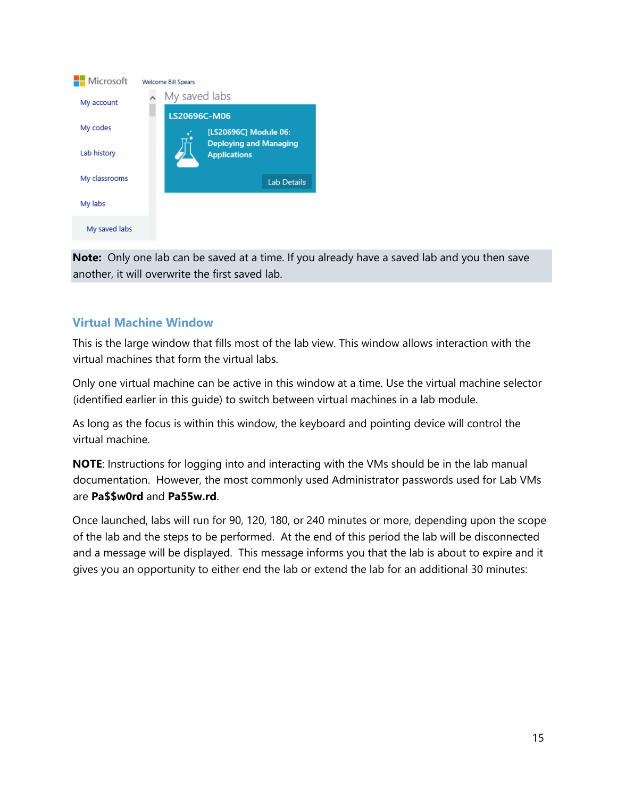

**Note:** Only one lab can be saved at a time. If you already have a saved lab and you then save another, it will overwrite the first saved lab.

#### <span id="page-14-0"></span>**Virtual Machine Window**

This is the large window that fills most of the lab view. This window allows interaction with the virtual machines that form the virtual labs.

Only one virtual machine can be active in this window at a time. Use the virtual machine selector (identified earlier in this guide) to switch between virtual machines in a lab module.

As long as the focus is within this window, the keyboard and pointing device will control the virtual machine.

**NOTE**: Instructions for logging into and interacting with the VMs should be in the lab manual documentation. However, the most commonly used Administrator passwords used for Lab VMs are **Pa\$\$w0rd** and **Pa55w.rd**.

Once launched, labs will run for 90, 120, 180, or 240 minutes or more, depending upon the scope of the lab and the steps to be performed. At the end of this period the lab will be disconnected and a message will be displayed. This message informs you that the lab is about to expire and it gives you an opportunity to either end the lab or extend the lab for an additional 30 minutes: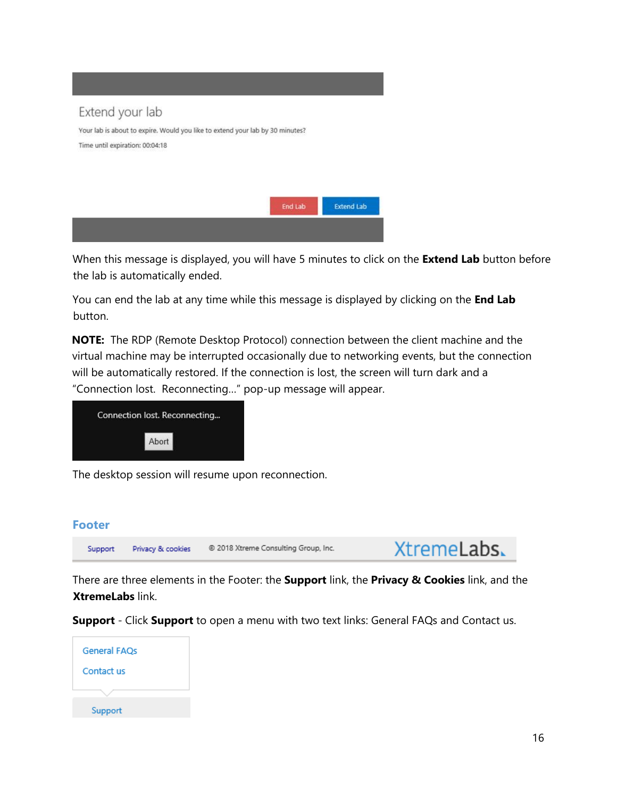

When this message is displayed, you will have 5 minutes to click on the **Extend Lab** button before the lab is automatically ended.

You can end the lab at any time while this message is displayed by clicking on the **End Lab** button.

**NOTE:** The RDP (Remote Desktop Protocol) connection between the client machine and the virtual machine may be interrupted occasionally due to networking events, but the connection will be automatically restored. If the connection is lost, the screen will turn dark and a "Connection lost. Reconnecting…" pop-up message will appear.



The desktop session will resume upon reconnection.

#### <span id="page-15-0"></span>**Footer**



There are three elements in the Footer: the **Support** link, the **Privacy & Cookies** link, and the **XtremeLabs** link.

**Support** - Click **Support** to open a menu with two text links: General FAQs and Contact us.

| <b>General FAQs</b> |  |
|---------------------|--|
| Contact us          |  |
|                     |  |
| Support             |  |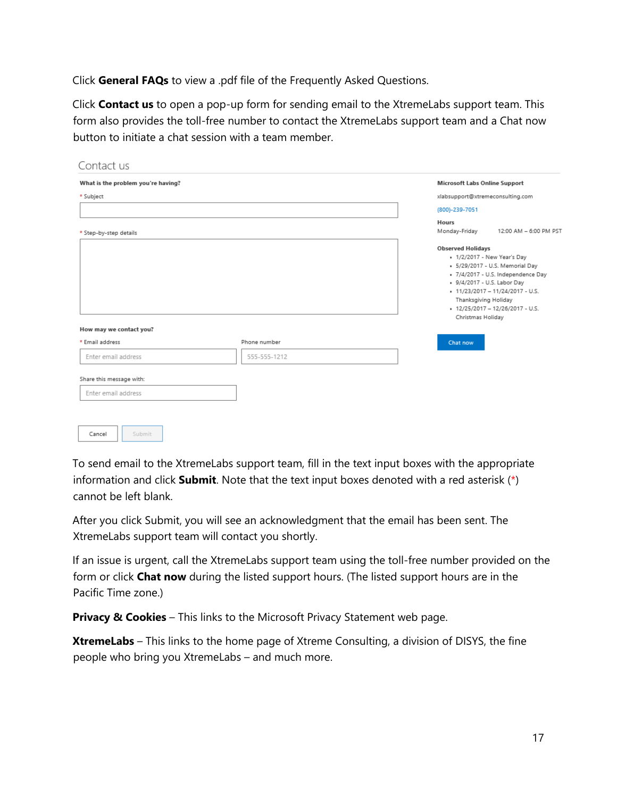Click **General FAQs** to view a .pdf file of the Frequently Asked Questions.

Click **Contact us** to open a pop-up form for sending email to the XtremeLabs support team. This form also provides the toll-free number to contact the XtremeLabs support team and a Chat now button to initiate a chat session with a team member.

| Contact us                         |              |                                                                                                                                                                                                                                                                                            |
|------------------------------------|--------------|--------------------------------------------------------------------------------------------------------------------------------------------------------------------------------------------------------------------------------------------------------------------------------------------|
| What is the problem you're having? |              | Microsoft Labs Online Support                                                                                                                                                                                                                                                              |
| * Subject                          |              | xlabsupport@xtremeconsulting.com                                                                                                                                                                                                                                                           |
|                                    |              | (800)-239-7051                                                                                                                                                                                                                                                                             |
|                                    |              | Hours<br>12:00 AM - 6:00 PM PST                                                                                                                                                                                                                                                            |
| * Step-by-step details             |              | Monday-Friday                                                                                                                                                                                                                                                                              |
| How may we contact you?            |              | <b>Observed Holidays</b><br>. 1/2/2017 - New Year's Day<br>· 5/29/2017 - U.S. Memorial Day<br>· 7/4/2017 - U.S. Independence Day<br>. 9/4/2017 - U.S. Labor Day<br>• 11/23/2017 - 11/24/2017 - U.S.<br>Thanksgiving Holiday<br>$\cdot$ 12/25/2017 - 12/26/2017 - U.S.<br>Christmas Holiday |
| * Email address                    | Phone number | Chat now                                                                                                                                                                                                                                                                                   |
| Enter email address                | 555-555-1212 |                                                                                                                                                                                                                                                                                            |
| Share this message with:           |              |                                                                                                                                                                                                                                                                                            |
| Enter email address                |              |                                                                                                                                                                                                                                                                                            |
|                                    |              |                                                                                                                                                                                                                                                                                            |
| Submit<br>Cancel                   |              |                                                                                                                                                                                                                                                                                            |

To send email to the XtremeLabs support team, fill in the text input boxes with the appropriate information and click **Submit**. Note that the text input boxes denoted with a red asterisk (\*) cannot be left blank.

After you click Submit, you will see an acknowledgment that the email has been sent. The XtremeLabs support team will contact you shortly.

If an issue is urgent, call the XtremeLabs support team using the toll-free number provided on the form or click **Chat now** during the listed support hours. (The listed support hours are in the Pacific Time zone.)

**Privacy & Cookies** – This links to the Microsoft Privacy Statement web page.

**XtremeLabs** – This links to the home page of Xtreme Consulting, a division of DISYS, the fine people who bring you XtremeLabs – and much more.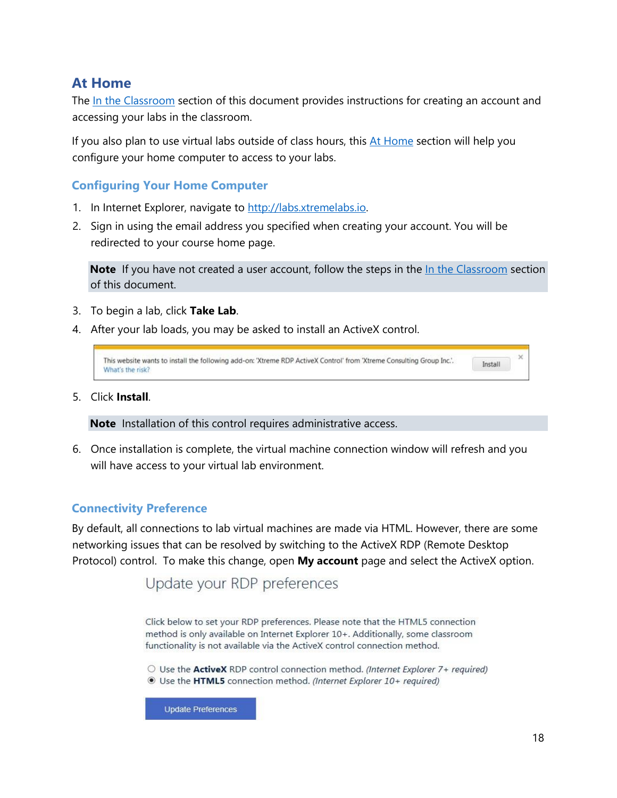### <span id="page-17-0"></span>**At Home**

The In the Classroom section of this document provides instructions for creating an account and accessing your labs in the classroom.

If you also plan to use virtual labs outside of class hours, this  $At$  Home section will help you configure your home computer to access to your labs.

#### <span id="page-17-1"></span>**Configuring Your Home Computer**

- 1. In Internet Explorer, navigate to [http://labs.xtremelabs.io](http://labs.xtremelabs.io/)[.](http://moc.microsoftlabsonline.com/)
- 2. Sign in using the email address you specified when creating your account. You will be redirected to your course home page.

**Note** If you have not created a user account, follow the steps in the In the Classroom section of this document.

- 3. To begin a lab, click **Take Lab**.
- 4. After your lab loads, you may be asked to install an ActiveX control.

| This website wants to install the following add-on: 'Xtreme RDP ActiveX Control' from 'Xtreme Consulting Group Inc.'.<br>Install<br>What's the risk? |  |  |  |
|------------------------------------------------------------------------------------------------------------------------------------------------------|--|--|--|
|------------------------------------------------------------------------------------------------------------------------------------------------------|--|--|--|

5. Click **Install**.

**Note** Installation of this control requires administrative access.

6. Once installation is complete, the virtual machine connection window will refresh and you will have access to your virtual lab environment.

#### <span id="page-17-2"></span>**Connectivity Preference**

By default, all connections to lab virtual machines are made via HTML. However, there are some networking issues that can be resolved by switching to the ActiveX RDP (Remote Desktop Protocol) control. To make this change, open **My account** page and select the ActiveX option.

## Update your RDP preferences

Click below to set your RDP preferences. Please note that the HTML5 connection method is only available on Internet Explorer 10+. Additionally, some classroom functionality is not available via the ActiveX control connection method.

 $\circlearrowright$  Use the ActiveX RDP control connection method. (Internet Explorer 7+ required) Use the HTML5 connection method. (Internet Explorer 10+ required)

**Update Preferences**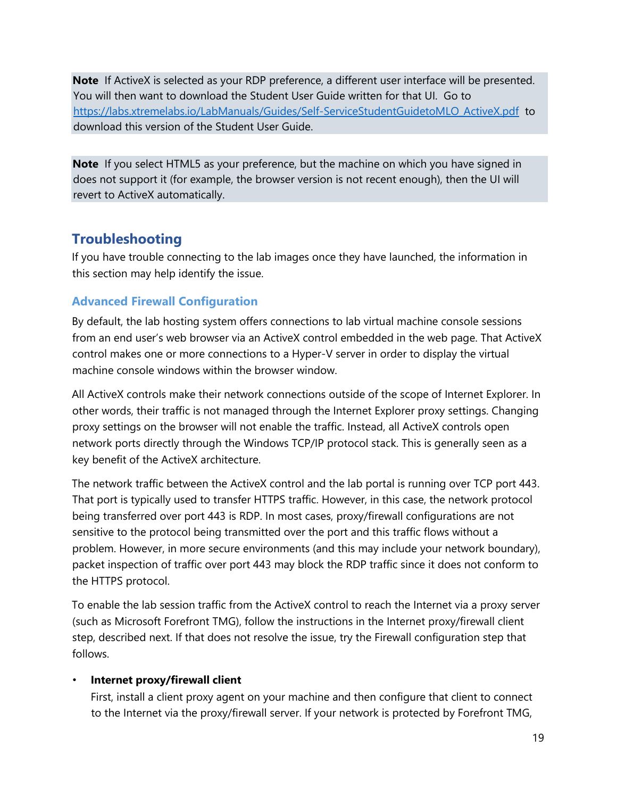**Note** If ActiveX is selected as your RDP preference, a different user interface will be presented. You will then want to download the Student User Guide written for that UI. Go to [https://labs.xtremelabs.io/LabManuals/Guides/Self-ServiceStudentGuidetoMLO\\_ActiveX.pdf](https://labs.xtremelabs.io/LabManuals/Guides/Self-ServiceStudentGuidetoMLO_ActiveX.pdf) to download this version of the Student User Guide.

**Note** If you select HTML5 as your preference, but the machine on which you have signed in does not support it (for example, the browser version is not recent enough), then the UI will revert to ActiveX automatically.

### <span id="page-18-0"></span>**Troubleshooting**

If you have trouble connecting to the lab images once they have launched, the information in this section may help identify the issue.

#### <span id="page-18-1"></span>**Advanced Firewall Configuration**

By default, the lab hosting system offers connections to lab virtual machine console sessions from an end user's web browser via an ActiveX control embedded in the web page. That ActiveX control makes one or more connections to a Hyper-V server in order to display the virtual machine console windows within the browser window.

All ActiveX controls make their network connections outside of the scope of Internet Explorer. In other words, their traffic is not managed through the Internet Explorer proxy settings. Changing proxy settings on the browser will not enable the traffic. Instead, all ActiveX controls open network ports directly through the Windows TCP/IP protocol stack. This is generally seen as a key benefit of the ActiveX architecture.

The network traffic between the ActiveX control and the lab portal is running over TCP port 443. That port is typically used to transfer HTTPS traffic. However, in this case, the network protocol being transferred over port 443 is RDP. In most cases, proxy/firewall configurations are not sensitive to the protocol being transmitted over the port and this traffic flows without a problem. However, in more secure environments (and this may include your network boundary), packet inspection of traffic over port 443 may block the RDP traffic since it does not conform to the HTTPS protocol.

To enable the lab session traffic from the ActiveX control to reach the Internet via a proxy server (such as Microsoft Forefront TMG), follow the instructions in the Internet proxy/firewall client step, described next. If that does not resolve the issue, try the Firewall configuration step that follows.

#### • **Internet proxy/firewall client**

First, install a client proxy agent on your machine and then configure that client to connect to the Internet via the proxy/firewall server. If your network is protected by Forefront TMG,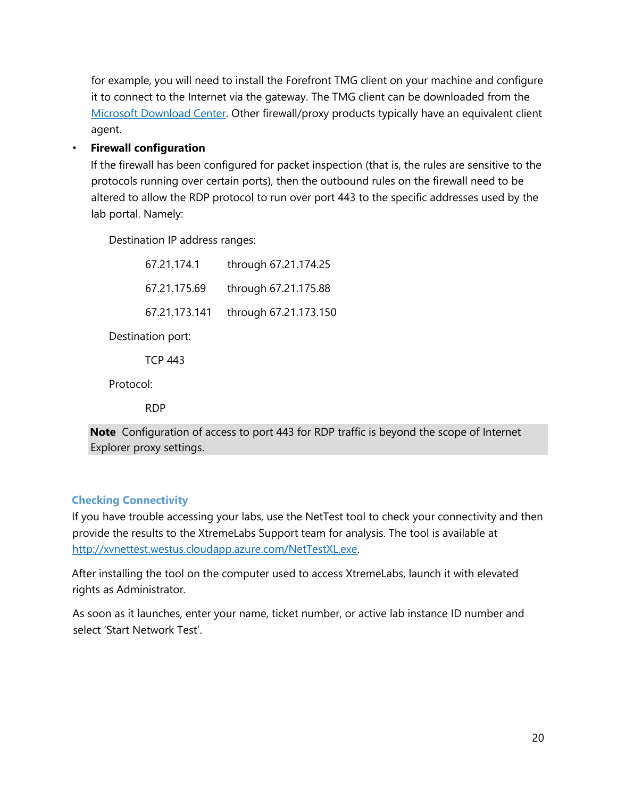for example, you will need to install the Forefront TMG client on your machine and configure it to connect to the Internet via the gateway. The TMG client can be downloaded from the [Microsoft Download Center.](http://www.microsoft.com/en-us/download/details.aspx?id=10504) Other firewall/proxy products typically have an equivalent client agent.

#### • **Firewall configuration**

If the firewall has been configured for packet inspection (that is, the rules are sensitive to the protocols running over certain ports), then the outbound rules on the firewall need to be altered to allow the RDP protocol to run over port 443 to the specific addresses used by the lab portal. Namely:

Destination IP address ranges:

| 67.21.174.1   | through 67.21.174.25  |
|---------------|-----------------------|
| 67.21.175.69  | through 67.21.175.88  |
| 67.21.173.141 | through 67.21.173.150 |

Destination port:

TCP 443

Protocol:

RDP

**Note** Configuration of access to port 443 for RDP traffic is beyond the scope of Internet Explorer proxy settings.

#### <span id="page-19-0"></span>**Checking Connectivity**

If you have trouble accessing your labs, use the NetTest tool to check your connectivity and then provide the results to the XtremeLabs Support team for analysis. The tool is available at [http://xvnettest.westus.cloudapp.azure.com/NetTestXL.exe.](http://xvnettest.westus.cloudapp.azure.com/NetTestXL.exe)

After installing the tool on the computer used to access XtremeLabs, launch it with elevated rights as Administrator.

As soon as it launches, enter your name, ticket number, or active lab instance ID number and select 'Start Network Test'.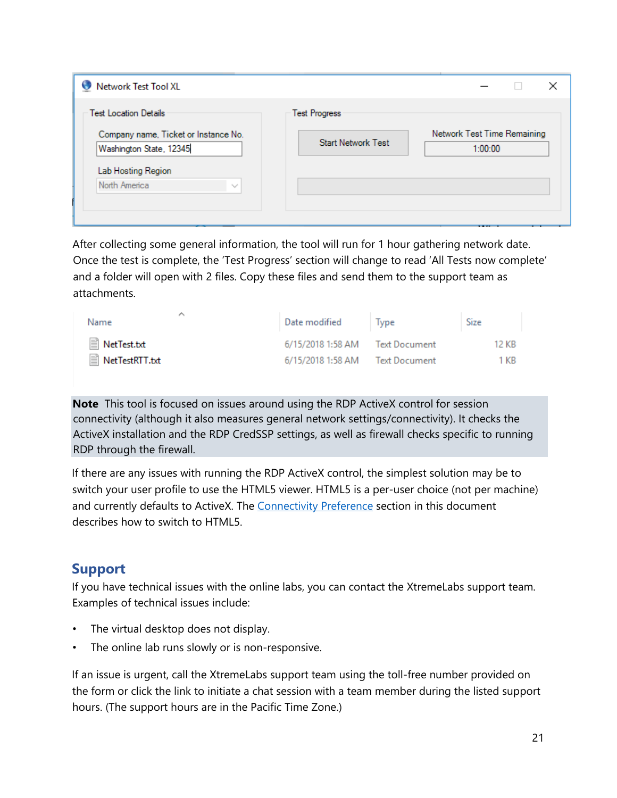| Network Test Tool XL                                                                            |                                                   |                                        |  |
|-------------------------------------------------------------------------------------------------|---------------------------------------------------|----------------------------------------|--|
| <b>Test Location Details</b><br>Company name, Ticket or Instance No.<br>Washington State, 12345 | <b>Test Progress</b><br><b>Start Network Test</b> | Network Test Time Remaining<br>1:00:00 |  |
| Lab Hosting Region<br>North America<br>$\sim$                                                   |                                                   |                                        |  |

After collecting some general information, the tool will run for 1 hour gathering network date. Once the test is complete, the 'Test Progress' section will change to read 'All Tests now complete' and a folder will open with 2 files. Copy these files and send them to the support team as attachments.

| ⌒<br>Name        | Date modified                   | l lype | <b>Size</b> |
|------------------|---------------------------------|--------|-------------|
| ■ NetTest.txt    | 6/15/2018 1:58 AM Text Document |        | 12 KB       |
| ■ NetTestRTT.txt | 6/15/2018 1:58 AM Text Document |        | 1 KB        |

**Note** This tool is focused on issues around using the RDP ActiveX control for session connectivity (although it also measures general network settings/connectivity). It checks the ActiveX installation and the RDP CredSSP settings, as well as firewall checks specific to running RDP through the firewall.

If there are any issues with running the RDP ActiveX control, the simplest solution may be to switch your user profile to use the HTML5 viewer. HTML5 is a per-user choice (not per machine) and currently defaults to ActiveX. The Connectivity Preference section in this document describes how to switch to HTML5.

## <span id="page-20-0"></span>**Support**

If you have technical issues with the online labs, you can contact the XtremeLabs support team. Examples of technical issues include:

- The virtual desktop does not display.
- The online lab runs slowly or is non-responsive.

If an issue is urgent, call the XtremeLabs support team using the toll-free number provided on the form or click the link to initiate a chat session with a team member during the listed support hours. (The support hours are in the Pacific Time Zone.)